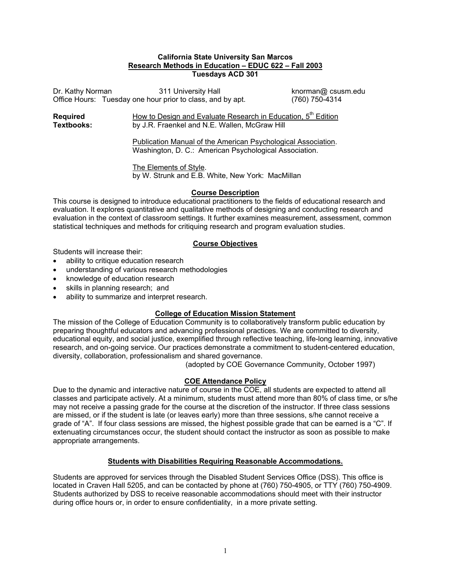#### **California State University San Marcos Research Methods in Education – EDUC 622 – Fall 2003 Tuesdays ACD 301**

Dr. Kathy Norman311 University Hall knorman@ csusm.edu Office Hours: Tuesday one hour prior to class, and by apt. (760) 750-4314

**Required** How to Design and Evaluate Research in Education, 5<sup>th</sup> Edition **Textbooks:** by J.R. Fraenkel and N.E. Wallen, McGraw Hill

> Publication Manual of the American Psychological Association. Washington, D. C.: American Psychological Association.

 The Elements of Style. by W. Strunk and E.B. White, New York: MacMillan

### **Course Description**

This course is designed to introduce educational practitioners to the fields of educational research and evaluation. It explores quantitative and qualitative methods of designing and conducting research and evaluation in the context of classroom settings. It further examines measurement, assessment, common statistical techniques and methods for critiquing research and program evaluation studies.

## **Course Objectives**

Students will increase their:

- ability to critique education research
- understanding of various research methodologies
- knowledge of education research
- skills in planning research; and
- ability to summarize and interpret research.

## **College of Education Mission Statement**

The mission of the College of Education Community is to collaboratively transform public education by preparing thoughtful educators and advancing professional practices. We are committed to diversity, educational equity, and social justice, exemplified through reflective teaching, life-long learning, innovative research, and on-going service. Our practices demonstrate a commitment to student-centered education, diversity, collaboration, professionalism and shared governance.

(adopted by COE Governance Community, October 1997)

## **COE Attendance Policy**

Due to the dynamic and interactive nature of course in the COE, all students are expected to attend all classes and participate actively. At a minimum, students must attend more than 80% of class time, or s/he may not receive a passing grade for the course at the discretion of the instructor. If three class sessions are missed, or if the student is late (or leaves early) more than three sessions, s/he cannot receive a grade of "A". If four class sessions are missed, the highest possible grade that can be earned is a "C". If extenuating circumstances occur, the student should contact the instructor as soon as possible to make appropriate arrangements.

### **Students with Disabilities Requiring Reasonable Accommodations.**

Students are approved for services through the Disabled Student Services Office (DSS). This office is located in Craven Hall 5205, and can be contacted by phone at (760) 750-4905, or TTY (760) 750-4909. Students authorized by DSS to receive reasonable accommodations should meet with their instructor during office hours or, in order to ensure confidentiality, in a more private setting.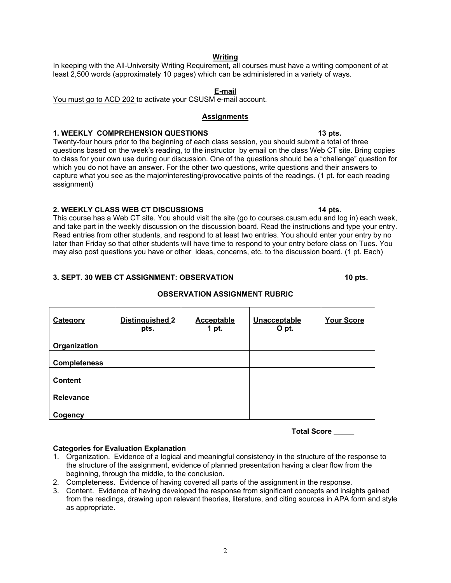## 2

## **Writing**

In keeping with the All-University Writing Requirement, all courses must have a writing component of at least 2,500 words (approximately 10 pages) which can be administered in a variety of ways.

### **E-mail**

You must go to ACD 202 to activate your CSUSM e-mail account.

#### **Assignments**

## 1. WEEKLY COMPREHENSION QUESTIONS **13 pts. 13 pts.**

Twenty-four hours prior to the beginning of each class session, you should submit a total of three questions based on the week's reading, to the instructor by email on the class Web CT site. Bring copies to class for your own use during our discussion. One of the questions should be a "challenge" question for which you do not have an answer. For the other two questions, write questions and their answers to capture what you see as the major/interesting/provocative points of the readings. (1 pt. for each reading assignment)

### **2. WEEKLY CLASS WEB CT DISCUSSIONS 14 pts.**

This course has a Web CT site. You should visit the site (go to courses.csusm.edu and log in) each week, and take part in the weekly discussion on the discussion board. Read the instructions and type your entry. Read entries from other students, and respond to at least two entries. You should enter your entry by no later than Friday so that other students will have time to respond to your entry before class on Tues. You may also post questions you have or other ideas, concerns, etc. to the discussion board. (1 pt. Each)

## **3. SEPT. 30 WEB CT ASSIGNMENT: OBSERVATION 10 pts.**  10 pts.

| Category            | <b>Distinguished 2</b><br>pts. | Acceptable<br>1 pt. | Unacceptable<br>O pt. | <b>Your Score</b> |
|---------------------|--------------------------------|---------------------|-----------------------|-------------------|
| Organization        |                                |                     |                       |                   |
| <b>Completeness</b> |                                |                     |                       |                   |
| <b>Content</b>      |                                |                     |                       |                   |
| Relevance           |                                |                     |                       |                   |
| Cogency             |                                |                     |                       |                   |

## **OBSERVATION ASSIGNMENT RUBRIC**

**Total Score \_\_\_\_\_** 

### **Categories for Evaluation Explanation**

- 1. Organization. Evidence of a logical and meaningful consistency in the structure of the response to the structure of the assignment, evidence of planned presentation having a clear flow from the beginning, through the middle, to the conclusion.
- 2. Completeness. Evidence of having covered all parts of the assignment in the response.
- 3. Content. Evidence of having developed the response from significant concepts and insights gained from the readings, drawing upon relevant theories, literature, and citing sources in APA form and style as appropriate.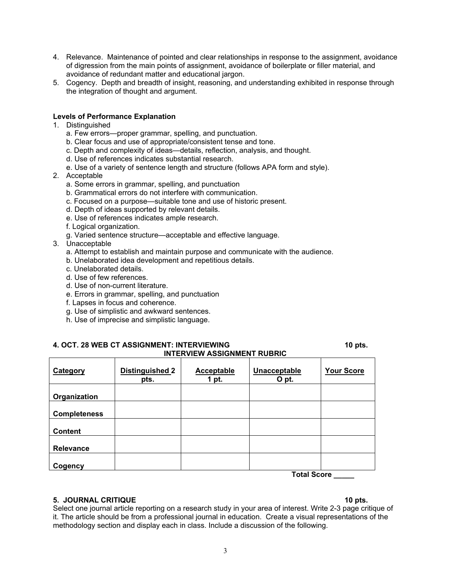- 4. Relevance. Maintenance of pointed and clear relationships in response to the assignment, avoidance of digression from the main points of assignment, avoidance of boilerplate or filler material, and avoidance of redundant matter and educational jargon.
- 5. Cogency. Depth and breadth of insight, reasoning, and understanding exhibited in response through the integration of thought and argument.

#### **Levels of Performance Explanation**

- 1. Distinguished
	- a. Few errors—proper grammar, spelling, and punctuation.
	- b. Clear focus and use of appropriate/consistent tense and tone.
	- c. Depth and complexity of ideas—details, reflection, analysis, and thought.
	- d. Use of references indicates substantial research.
	- e. Use of a variety of sentence length and structure (follows APA form and style).
- 2. Acceptable
	- a. Some errors in grammar, spelling, and punctuation
	- b. Grammatical errors do not interfere with communication.
	- c. Focused on a purpose—suitable tone and use of historic present.
	- d. Depth of ideas supported by relevant details.
	- e. Use of references indicates ample research.
	- f. Logical organization.
	- g. Varied sentence structure—acceptable and effective language.
- 3. Unacceptable
	- a. Attempt to establish and maintain purpose and communicate with the audience.
	- b. Unelaborated idea development and repetitious details.
	- c. Unelaborated details.
	- d. Use of few references.
	- d. Use of non-current literature.
	- e. Errors in grammar, spelling, and punctuation
	- f. Lapses in focus and coherence.
	- g. Use of simplistic and awkward sentences.
	- h. Use of imprecise and simplistic language.

#### **4. OCT. 28 WEB CT ASSIGNMENT: INTERVIEWING 10 pts. 10 pts. 10 pts. INTERVIEW ASSIGNMENT RUBRIC**

| Category            | <b>Distinguished 2</b><br>pts. | Acceptable<br>1 pt. | Unacceptable<br>O pt. | <b>Your Score</b> |
|---------------------|--------------------------------|---------------------|-----------------------|-------------------|
| Organization        |                                |                     |                       |                   |
| <b>Completeness</b> |                                |                     |                       |                   |
| <b>Content</b>      |                                |                     |                       |                   |
| <b>Relevance</b>    |                                |                     |                       |                   |
| Cogency             |                                |                     | <b>Total Score</b>    |                   |

**Total Score \_\_\_\_\_** 

#### **5. JOURNAL CRITIQUE 10 pts.**  10 pts.

Select one journal article reporting on a research study in your area of interest. Write 2-3 page critique of it. The article should be from a professional journal in education. Create a visual representations of the methodology section and display each in class. Include a discussion of the following.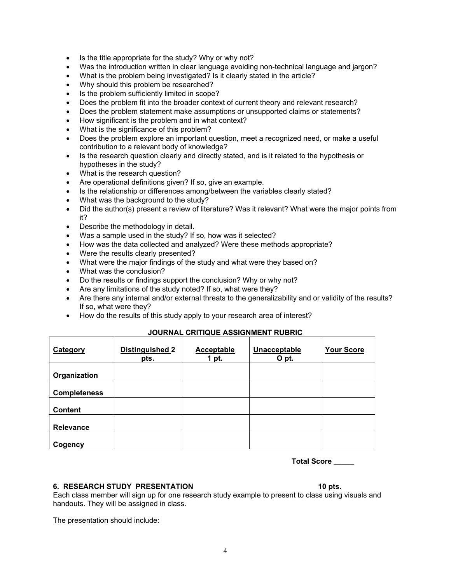- Is the title appropriate for the study? Why or why not?
- Was the introduction written in clear language avoiding non-technical language and jargon?
- What is the problem being investigated? Is it clearly stated in the article?
- Why should this problem be researched?
- Is the problem sufficiently limited in scope?
- Does the problem fit into the broader context of current theory and relevant research?
- Does the problem statement make assumptions or unsupported claims or statements?
- How significant is the problem and in what context?
- What is the significance of this problem?
- Does the problem explore an important question, meet a recognized need, or make a useful contribution to a relevant body of knowledge?
- Is the research question clearly and directly stated, and is it related to the hypothesis or hypotheses in the study?
- What is the research question?
- Are operational definitions given? If so, give an example.
- Is the relationship or differences among/between the variables clearly stated?
- What was the background to the study?
- Did the author(s) present a review of literature? Was it relevant? What were the major points from it?
- Describe the methodology in detail.
- Was a sample used in the study? If so, how was it selected?
- How was the data collected and analyzed? Were these methods appropriate?
- Were the results clearly presented?
- What were the major findings of the study and what were they based on?
- What was the conclusion?
- Do the results or findings support the conclusion? Why or why not?
- Are any limitations of the study noted? If so, what were they?
- Are there any internal and/or external threats to the generalizability and or validity of the results? If so, what were they?
- How do the results of this study apply to your research area of interest?

| Category            | <b>Distinguished 2</b><br>pts. | <b>Acceptable</b><br>1 pt. | Unacceptable<br>O pt. | <b>Your Score</b> |
|---------------------|--------------------------------|----------------------------|-----------------------|-------------------|
|                     |                                |                            |                       |                   |
| Organization        |                                |                            |                       |                   |
|                     |                                |                            |                       |                   |
| <b>Completeness</b> |                                |                            |                       |                   |
|                     |                                |                            |                       |                   |
| <b>Content</b>      |                                |                            |                       |                   |
|                     |                                |                            |                       |                   |
| <b>Relevance</b>    |                                |                            |                       |                   |
|                     |                                |                            |                       |                   |
| Cogency             |                                |                            |                       |                   |

## **JOURNAL CRITIQUE ASSIGNMENT RUBRIC**

**Total Score \_\_\_\_\_** 

#### **6. RESEARCH STUDY PRESENTATION 10 pts. 10 pts.**

Each class member will sign up for one research study example to present to class using visuals and handouts. They will be assigned in class.

The presentation should include: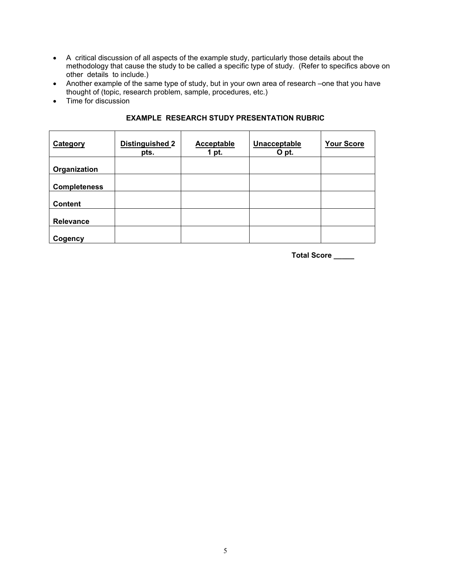- A critical discussion of all aspects of the example study, particularly those details about the methodology that cause the study to be called a specific type of study. (Refer to specifics above on other details to include.)
- Another example of the same type of study, but in your own area of research –one that you have thought of (topic, research problem, sample, procedures, etc.)
- Time for discussion

| Category            | Distinguished 2<br>pts. | <b>Acceptable</b><br>1 pt. | Unacceptable<br>O pt. | <b>Your Score</b> |
|---------------------|-------------------------|----------------------------|-----------------------|-------------------|
| Organization        |                         |                            |                       |                   |
| <b>Completeness</b> |                         |                            |                       |                   |
| <b>Content</b>      |                         |                            |                       |                   |
| Relevance           |                         |                            |                       |                   |
| Cogency             |                         |                            |                       |                   |

## **EXAMPLE RESEARCH STUDY PRESENTATION RUBRIC**

**Total Score \_\_\_\_\_**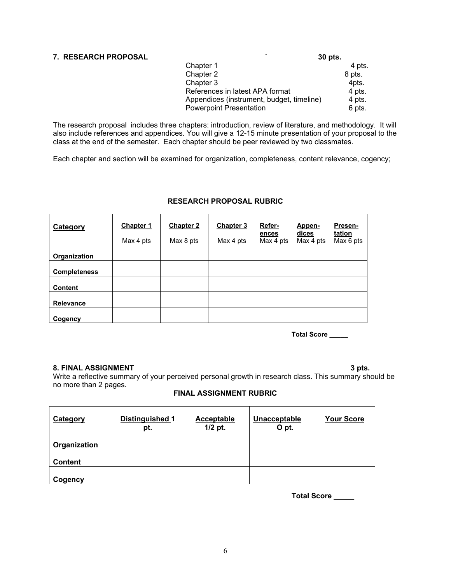# **7. RESEARCH PROPOSAL ` 30 pts.**

| 7. RESEARUH PRUPUSAL |                                           | <b>30 DIS.</b> |
|----------------------|-------------------------------------------|----------------|
|                      | Chapter 1                                 | 4 pts.         |
|                      | Chapter 2                                 | 8 pts.         |
|                      | Chapter 3                                 | 4pts.          |
|                      | References in latest APA format           | 4 pts.         |
|                      | Appendices (instrument, budget, timeline) | 4 pts.         |
|                      | <b>Powerpoint Presentation</b>            | 6 pts.         |

The research proposal includes three chapters: introduction, review of literature, and methodology. It will also include references and appendices. You will give a 12-15 minute presentation of your proposal to the class at the end of the semester. Each chapter should be peer reviewed by two classmates.

Each chapter and section will be examined for organization, completeness, content relevance, cogency;

| Category            | Chapter 1<br>Max 4 pts | <b>Chapter 2</b><br>Max 8 pts | <b>Chapter 3</b><br>Max 4 pts | Refer-<br>ences<br>Max 4 pts | Appen-<br>dices<br>Max 4 pts | Presen-<br>tation<br>Max 6 pts |
|---------------------|------------------------|-------------------------------|-------------------------------|------------------------------|------------------------------|--------------------------------|
| Organization        |                        |                               |                               |                              |                              |                                |
| <b>Completeness</b> |                        |                               |                               |                              |                              |                                |
| <b>Content</b>      |                        |                               |                               |                              |                              |                                |
| Relevance           |                        |                               |                               |                              |                              |                                |
| Cogency             |                        |                               |                               |                              |                              |                                |

### **RESEARCH PROPOSAL RUBRIC**

**Total Score \_\_\_\_\_** 

#### **8. FINAL ASSIGNMENT** 3 pts.

Write a reflective summary of your perceived personal growth in research class. This summary should be no more than 2 pages.

## **FINAL ASSIGNMENT RUBRIC**

| Category       | Distinguished 1<br>pt. | <b>Acceptable</b><br>$1/2$ pt. | Unacceptable<br>O pt. | <b>Your Score</b> |
|----------------|------------------------|--------------------------------|-----------------------|-------------------|
| Organization   |                        |                                |                       |                   |
| <b>Content</b> |                        |                                |                       |                   |
| Cogency        |                        |                                |                       |                   |

**Total Score \_\_\_\_\_**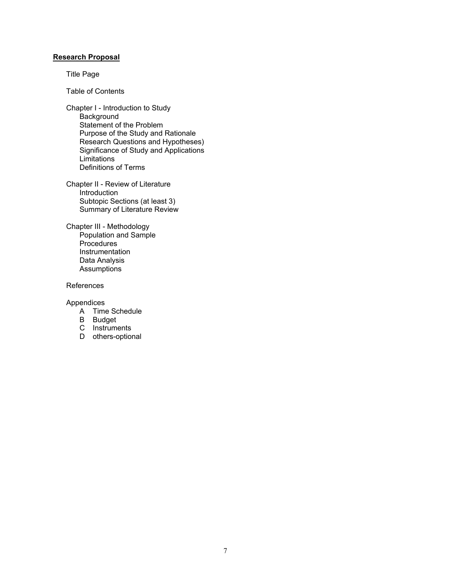#### **Research Proposal**

Title Page

Table of Contents

Chapter I - Introduction to Study **Background** Statement of the Problem Purpose of the Study and Rationale Research Questions and Hypotheses) Significance of Study and Applications Limitations Definitions of Terms

Chapter II - Review of Literature Introduction Subtopic Sections (at least 3) Summary of Literature Review

Chapter III - Methodology Population and Sample **Procedures** Instrumentation Data Analysis **Assumptions** 

References

Appendices

- A Time Schedule
- B Budget
- C Instruments
- D others-optional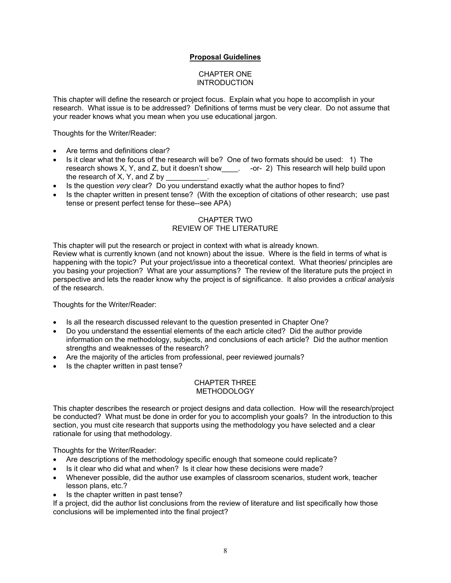## **Proposal Guidelines**

#### CHAPTER ONE INTRODUCTION

This chapter will define the research or project focus. Explain what you hope to accomplish in your research. What issue is to be addressed? Definitions of terms must be very clear. Do not assume that your reader knows what you mean when you use educational jargon.

Thoughts for the Writer/Reader:

- Are terms and definitions clear?
- Is it clear what the focus of the research will be? One of two formats should be used: 1) The research shows X, Y, and Z, but it doesn't show\_\_\_\_. -or- 2) This research will help build upon the research of X, Y, and  $Z$  by
- Is the question *very* clear? Do you understand exactly what the author hopes to find?
- Is the chapter written in present tense? (With the exception of citations of other research; use past tense or present perfect tense for these--see APA)

## CHAPTER TWO REVIEW OF THE LITERATURE

This chapter will put the research or project in context with what is already known.

Review what is currently known (and not known) about the issue. Where is the field in terms of what is happening with the topic? Put your project/issue into a theoretical context. What theories/ principles are you basing your projection? What are your assumptions? The review of the literature puts the project in perspective and lets the reader know why the project is of significance. It also provides a *critical analysis* of the research.

Thoughts for the Writer/Reader:

- Is all the research discussed relevant to the question presented in Chapter One?
- Do you understand the essential elements of the each article cited? Did the author provide information on the methodology, subjects, and conclusions of each article? Did the author mention strengths and weaknesses of the research?
- Are the majority of the articles from professional, peer reviewed journals?
- Is the chapter written in past tense?

#### CHAPTER THREE METHODOLOGY

This chapter describes the research or project designs and data collection. How will the research/project be conducted? What must be done in order for you to accomplish your goals? In the introduction to this section, you must cite research that supports using the methodology you have selected and a clear rationale for using that methodology.

Thoughts for the Writer/Reader:

- Are descriptions of the methodology specific enough that someone could replicate?
- Is it clear who did what and when? Is it clear how these decisions were made?
- Whenever possible, did the author use examples of classroom scenarios, student work, teacher lesson plans, etc.?
- Is the chapter written in past tense?

If a project, did the author list conclusions from the review of literature and list specifically how those conclusions will be implemented into the final project?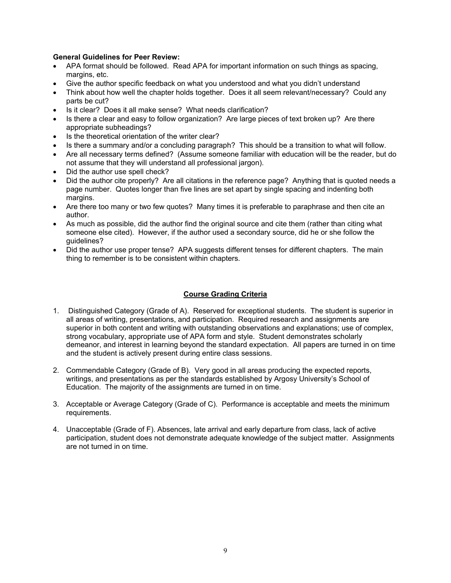### **General Guidelines for Peer Review:**

- APA format should be followed. Read APA for important information on such things as spacing, margins, etc.
- Give the author specific feedback on what you understood and what you didn't understand
- Think about how well the chapter holds together. Does it all seem relevant/necessary? Could any parts be cut?
- Is it clear? Does it all make sense? What needs clarification?
- Is there a clear and easy to follow organization? Are large pieces of text broken up? Are there appropriate subheadings?
- Is the theoretical orientation of the writer clear?
- Is there a summary and/or a concluding paragraph? This should be a transition to what will follow.
- Are all necessary terms defined? (Assume someone familiar with education will be the reader, but do not assume that they will understand all professional jargon).
- Did the author use spell check?
- Did the author cite properly? Are all citations in the reference page? Anything that is quoted needs a page number. Quotes longer than five lines are set apart by single spacing and indenting both margins.
- Are there too many or two few quotes? Many times it is preferable to paraphrase and then cite an author.
- As much as possible, did the author find the original source and cite them (rather than citing what someone else cited). However, if the author used a secondary source, did he or she follow the quidelines?
- Did the author use proper tense? APA suggests different tenses for different chapters. The main thing to remember is to be consistent within chapters.

## **Course Grading Criteria**

- 1. Distinguished Category (Grade of A). Reserved for exceptional students. The student is superior in all areas of writing, presentations, and participation. Required research and assignments are superior in both content and writing with outstanding observations and explanations; use of complex, strong vocabulary, appropriate use of APA form and style. Student demonstrates scholarly demeanor, and interest in learning beyond the standard expectation. All papers are turned in on time and the student is actively present during entire class sessions.
- 2. Commendable Category (Grade of B). Very good in all areas producing the expected reports, writings, and presentations as per the standards established by Argosy University's School of Education. The majority of the assignments are turned in on time.
- 3. Acceptable or Average Category (Grade of C). Performance is acceptable and meets the minimum requirements.
- 4. Unacceptable (Grade of F). Absences, late arrival and early departure from class, lack of active participation, student does not demonstrate adequate knowledge of the subject matter. Assignments are not turned in on time.